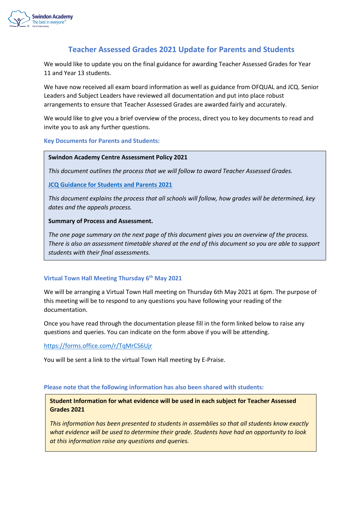

## **Teacher Assessed Grades 2021 Update for Parents and Students**

We would like to update you on the final guidance for awarding Teacher Assessed Grades for Year 11 and Year 13 students.

We have now received all exam board information as well as guidance from OFQUAL and JCQ. Senior Leaders and Subject Leaders have reviewed all documentation and put into place robust arrangements to ensure that Teacher Assessed Grades are awarded fairly and accurately.

We would like to give you a brief overview of the process, direct you to key documents to read and invite you to ask any further questions.

## **Key Documents for Parents and Students:**

### **Swindon Academy Centre Assessment Policy 2021**

*This document outlines the process that we will follow to award Teacher Assessed Grades.*

**[JCQ Guidance for Students and Parents 2021](https://www.jcq.org.uk/wp-content/uploads/2021/03/JCQ-Guidance-for-Students-and-Parents-on-Summer-2021.pdf)**

*This document explains the process that all schools will follow, how grades will be determined, key dates and the appeals process.* 

## **Summary of Process and Assessment.**

*The one page summary on the next page of this document gives you an overview of the process. There is also an assessment timetable shared at the end of this document so you are able to support students with their final assessments.*

## **Virtual Town Hall Meeting Thursday 6th May 2021**

We will be arranging a Virtual Town Hall meeting on Thursday 6th May 2021 at 6pm. The purpose of this meeting will be to respond to any questions you have following your reading of the documentation.

Once you have read through the documentation please fill in the form linked below to raise any questions and queries. You can indicate on the form above if you will be attending.

<https://forms.office.com/r/TqMrCS6Ujr>

You will be sent a link to the virtual Town Hall meeting by E-Praise.

### **Please note that the following information has also been shared with students:**

**Student Information for what evidence will be used in each subject for Teacher Assessed Grades 2021**

*This information has been presented to students in assemblies so that all students know exactly what evidence will be used to determine their grade. Students have had an opportunity to look at this information raise any questions and queries.*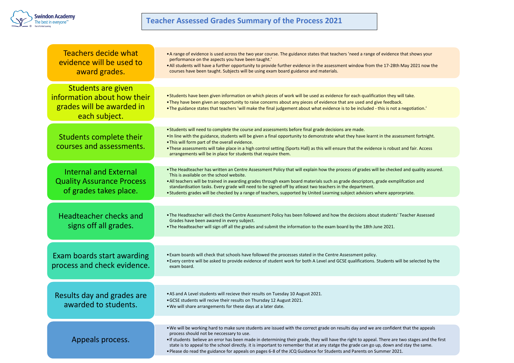

# **Teacher Assessed Grades Summary of the Process 2021**

| Teachers decide what<br>evidence will be used to<br>award grades.                                      | • A range of evidence is used across the two year course. The guidance states that teachers 'need a range of evidence that shows your<br>performance on the aspects you have been taught.'<br>. All students will have a further opportunity to provide further evidence in the assessment window from the 17-28th May 2021 now the<br>courses have been taught. Subjects will be using exam board guidance and materials.                                                                                                                                                                             |  |  |
|--------------------------------------------------------------------------------------------------------|--------------------------------------------------------------------------------------------------------------------------------------------------------------------------------------------------------------------------------------------------------------------------------------------------------------------------------------------------------------------------------------------------------------------------------------------------------------------------------------------------------------------------------------------------------------------------------------------------------|--|--|
| <b>Students are given</b><br>information about how their<br>grades will be awarded in<br>each subject. | . Students have been given information on which pieces of work will be used as evidence for each qualification they will take.<br>• They have been given an opportunity to raise concerns about any pieces of evidence that are used and give feedback.<br>• The guidance states that teachers 'will make the final judgement about what evidence is to be included - this is not a negotiation.'                                                                                                                                                                                                      |  |  |
| Students complete their<br>courses and assessments.                                                    | . Students will need to complete the course and assessments before final grade decisions are made.<br>. In line with the guidance, students will be given a final opportunity to demonstrate what they have learnt in the assessment fortnight.<br>. This will form part of the overall evidence.<br>. These assessments will take place in a high control setting (Sports Hall) as this will ensure that the evidence is robust and fair. Access<br>arrangements will be in place for students that require them.                                                                                     |  |  |
| <b>Internal and External</b><br><b>Quality Assurance Process</b><br>of grades takes place.             | . The Headteacher has written an Centre Assessment Policy that will explain how the process of grades will be checked and quality assured.<br>This is available on the school website.<br>. All teachers will be trained in awarding grades through exam board materials such as grade descriptors, grade exmplifcation and<br>standardisation tasks. Every grade will need to be signed off by atleast two teachers in the department.<br>• Students grades will be checked by a range of teachers, supported by United Learning subject advisiors where approrpriate.                                |  |  |
| <b>Headteacher checks and</b><br>signs off all grades.                                                 | . The Headteacher will check the Centre Assessment Policy has been followed and how the decisions about students' Teacher Assessed<br>Grades have been awared in every subject.<br>• The Headteacher will sign off all the grades and submit the information to the exam board by the 18th June 2021.                                                                                                                                                                                                                                                                                                  |  |  |
| Exam boards start awarding<br>process and check evidence.                                              | . Exam boards will check that schools have followed the processes stated in the Centre Assessment policy.<br>. Every centre will be asked to provide evidence of student work for both A Level and GCSE qualifications. Students will be selected by the<br>exam board.                                                                                                                                                                                                                                                                                                                                |  |  |
| Results day and grades are<br>awarded to students.                                                     | • AS and A Level students will recieve their results on Tuesday 10 August 2021.<br>.GCSE students will recive their results on Thursday 12 August 2021.<br>. We will share arrangements for these days at a later date.                                                                                                                                                                                                                                                                                                                                                                                |  |  |
| Appeals process.                                                                                       | . We will be working hard to make sure students are issued with the correct grade on results day and we are confident that the appeals<br>process should not be neccessary to use.<br>. If students believe an error has been made in determining their grade, they will have the right to appeal. There are two stages and the first<br>state is to appeal to the school directly. it is important to remember that at any statge the grade can go up, down and stay the same.<br>. Please do read the guidance for appeals on pages 6-8 of the JCQ Guidance for Students and Parents on Summer 2021. |  |  |